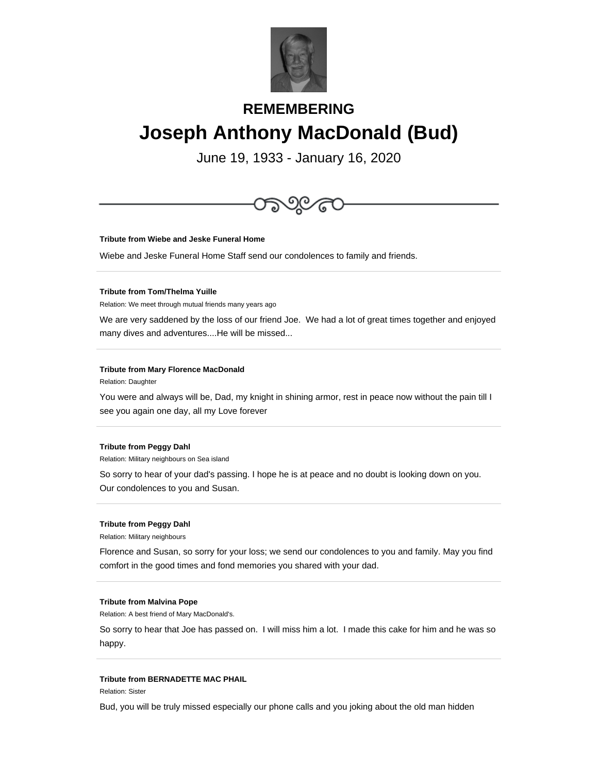

# **REMEMBERING Joseph Anthony MacDonald (Bud)**

June 19, 1933 - January 16, 2020



# **Tribute from Peggy Dahl**

Relation: Military neighbours on Sea island

So sorry to hear of your dad's passing. I hope he is at peace and no doubt is looking down on you. Our condolences to you and Susan.

# **Tribute from Peggy Dahl**

Relation: Military neighbours

Florence and Susan, so sorry for your loss; we send our condolences to you and family. May you find comfort in the good times and fond memories you shared with your dad.

#### **Tribute from Malvina Pope**

Relation: A best friend of Mary MacDonald's.

So sorry to hear that Joe has passed on. I will miss him a lot. I made this cake for him and he was so happy.

# **Tribute from BERNADETTE MAC PHAIL**

Relation: Sister

Bud, you will be truly missed especially our phone calls and you joking about the old man hidden